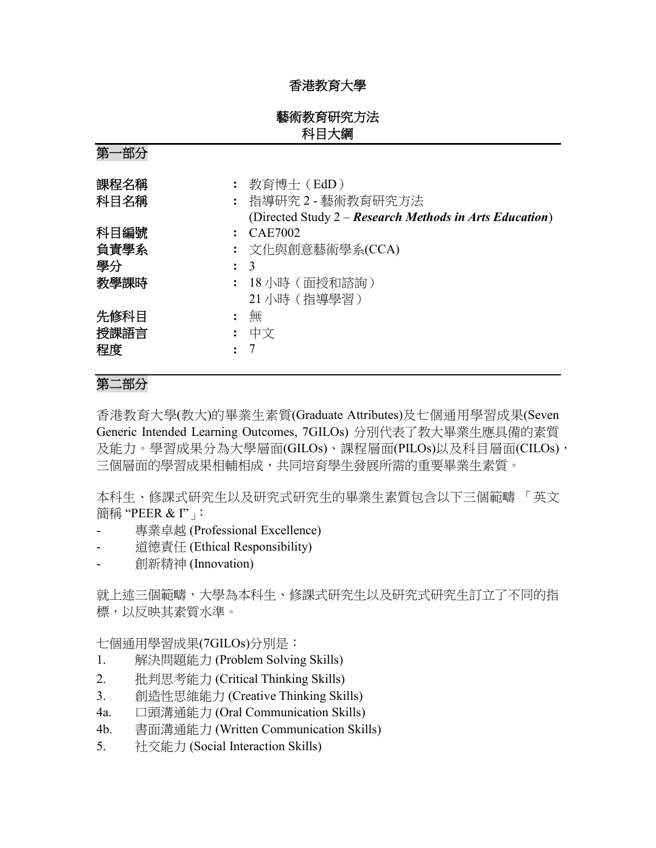## 香港教育大學

## 藝術教育研究方法 科目大綱

第一部分

| 課程名稱<br>科目名稱 | : 教育博士(EdD)<br>: 指導研究2-藝術教育研究方法<br>(Directed Study 2 – Research Methods in Arts Education) |
|--------------|--------------------------------------------------------------------------------------------|
| 科目編號         | $\therefore$ CAE7002                                                                       |
| 負責學系         | : 文化與創意藝術學系(CCA)                                                                           |
| 學分           | $\therefore$ 3                                                                             |
| 教學課時         | 18 小時 ( 面授和諮詢 )                                                                            |
|              | 21 小時 (指導學習)                                                                               |
| 先修科目         | 無                                                                                          |
| 授課語言         | : 中文                                                                                       |
| 程度           |                                                                                            |

# 第二部分

香港教育大學(教大)的畢業生素質(Graduate Attributes)及七個通用學習成果(Seven Generic Intended Learning Outcomes, 7GILOs) 分別代表了教大畢業生應具備的素質 及能力。學習成果分為大學層面(GILOs)、課程層面(PILOs)以及科目層面(CILOs), 三個層面的學習成果相輔相成,共同培育學生發展所需的重要畢業生素質。

本科生、修課式研究生以及研究式研究生的畢業生素質包含以下三個範疇 「英文 簡稱 "PEER & I"」

- 專業卓越 (Professional Excellence)
- 道德責任 (Ethical Responsibility)
- 創新精神 (Innovation)

就上述三個範疇,大學為本科生、修課式研究生以及研究式研究生訂立了不同的指 標,以反映其素質水準。

七個通用學習成果(7GILOs)分別是:

- 1. 解決問題能力 (Problem Solving Skills)
- 2. 批判思考能力 (Critical Thinking Skills)
- 3. 創造性思維能力 (Creative Thinking Skills)
- 4a. 口頭溝通能力 (Oral Communication Skills)
- 4b. 書面溝通能力 (Written Communication Skills)
- 5. 社交能力 (Social Interaction Skills)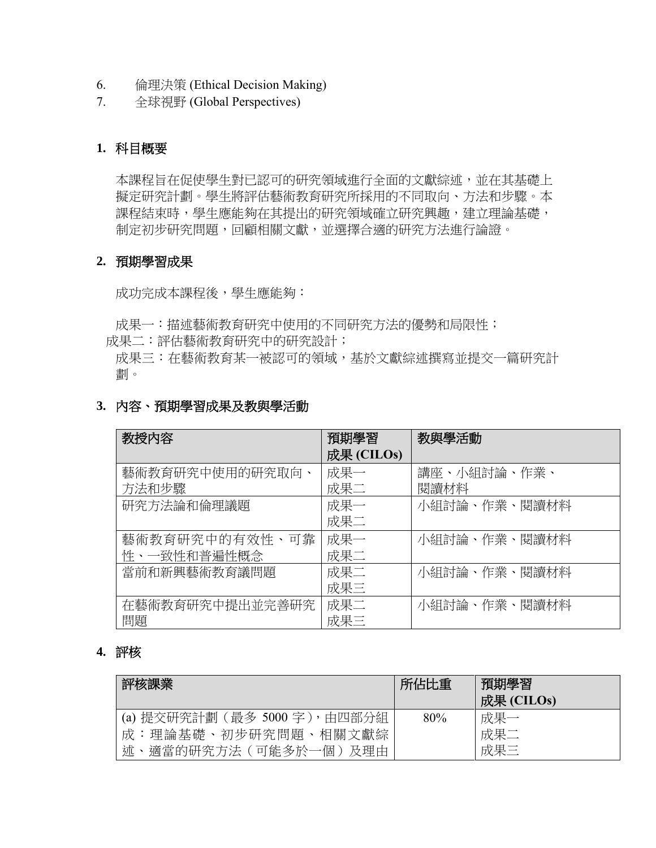- 6. 倫理決策 (Ethical Decision Making)
- 7. 全球視野 (Global Perspectives)

## **1.** 科目概要

本課程旨在促使學生對已認可的研究領域進行全面的文獻綜述,並在其基礎上 擬定研究計劃。學生將評估藝術教育研究所採用的不同取向、方法和步驟。本 課程結束時,學生應能夠在其提出的研究領域確立研究興趣,建立理論基礎, 制定初步研究問題,回顧相關文獻,並選擇合適的研究方法進行論證。

#### **2.** 預期學習成果

成功完成本課程後,學生應能夠:

成果一:描述藝術教育研究中使用的不同研究方法的優勢和局限性;

成果二:評估藝術教育研究中的研究設計;

成果三:在藝術教育某一被認可的領域,基於文獻綜述撰寫並提交一篇研究計 劃。

| 教授内容            | 預期學習       | 教與學活動        |  |
|-----------------|------------|--------------|--|
|                 | 成果 (CILOs) |              |  |
| 藝術教育研究中使用的研究取向、 | 成果一        | 講座、小組討論、作業、  |  |
| 方法和步驟           | 成果二        | 閱讀材料         |  |
| 研究方法論和倫理議題      | 成果一        | 小組討論、作業、閱讀材料 |  |
|                 | 成果二        |              |  |
| 藝術教育研究中的有效性、可靠  | 成果一        | 小組討論、作業、閱讀材料 |  |
| 性、一致性和普遍性概念     | 成果二        |              |  |
| 當前和新興藝術教育議問題    | 成果二        | 小組討論、作業、閱讀材料 |  |
|                 | 成果三        |              |  |
| 在藝術教育研究中提出並完善研究 | 成果二        | 小組討論、作業、閱讀材料 |  |
| 問題              | 成果三        |              |  |

#### **3.** 內容、預期學習成果及教與學活動

#### **4.** 評核

| 評核課業                          | 所佔比重 | 預期學習<br>成果 (CILOs) |
|-------------------------------|------|--------------------|
| (a) 提交研究計劃 (最多 5000 字), 由四部分組 | 80%  | 成果一                |
| 成:理論基礎、初步研究問題、相關文獻綜           |      | 成果二                |
| 述<br>、適當的研究方法(可能多於一個)及理由      |      | 成果三                |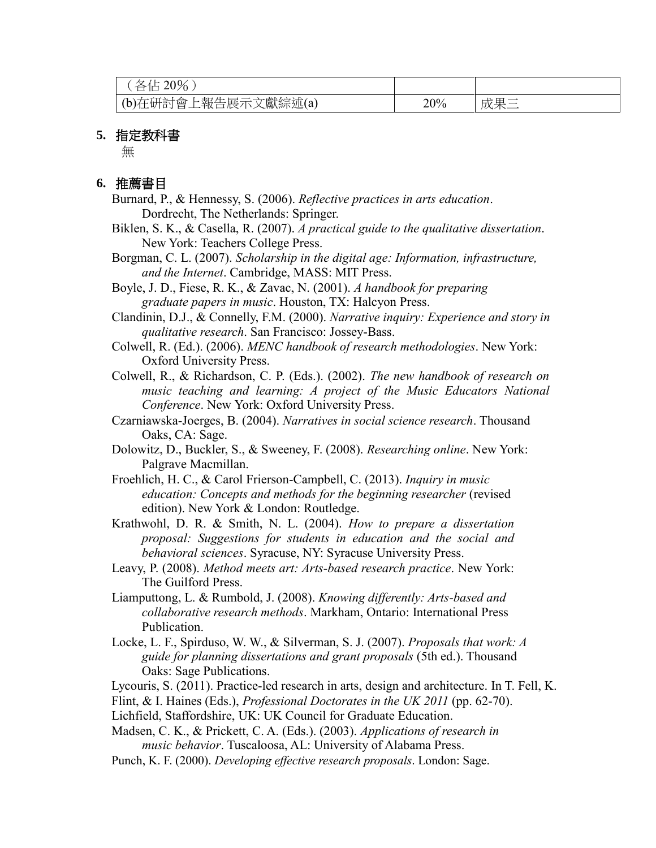| 20%<br>$\leftrightarrow$ / $\vdash$ '     |     |     |
|-------------------------------------------|-----|-----|
| :文獻綜述(a)<br>上報告展示 <sup>-</sup><br>(b)在研討會 | 20% | 成果三 |

#### **5.** 指定教科書

無

#### **6.** 推薦書目

- Burnard, P., & Hennessy, S. (2006). *Reflective practices in arts education*. Dordrecht, The Netherlands: Springer.
- Biklen, S. K., & Casella, R. (2007). *A practical guide to the qualitative dissertation*. New York: Teachers College Press.
- Borgman, C. L. (2007). *Scholarship in the digital age: Information, infrastructure, and the Internet*. Cambridge, MASS: MIT Press.
- Boyle, J. D., Fiese, R. K., & Zavac, N. (2001). *A handbook for preparing graduate papers in music*. Houston, TX: Halcyon Press.
- Clandinin, D.J., & Connelly, F.M. (2000). *Narrative inquiry: Experience and story in qualitative research*. San Francisco: Jossey-Bass.
- Colwell, R. (Ed.). (2006). *MENC handbook of research methodologies*. New York: Oxford University Press.
- Colwell, R., & Richardson, C. P. (Eds.). (2002). *The new handbook of research on music teaching and learning: A project of the Music Educators National Conference*. New York: Oxford University Press.
- Czarniawska-Joerges, B. (2004). *Narratives in social science research*. Thousand Oaks, CA: Sage.
- Dolowitz, D., Buckler, S., & Sweeney, F. (2008). *Researching online*. New York: Palgrave Macmillan.
- Froehlich, H. C., & Carol Frierson-Campbell, C. (2013). *Inquiry in music education: Concepts and methods for the beginning researcher* (revised edition). New York & London: Routledge.
- Krathwohl, D. R. & Smith, N. L. (2004). *How to prepare a dissertation proposal: Suggestions for students in education and the social and behavioral sciences*. Syracuse, NY: Syracuse University Press.
- Leavy, P. (2008). *Method meets art: Arts-based research practice*. New York: The Guilford Press.
- Liamputtong, L. & Rumbold, J. (2008). *Knowing differently: Arts-based and collaborative research methods*. Markham, Ontario: International Press Publication.
- Locke, L. F., Spirduso, W. W., & Silverman, S. J. (2007). *Proposals that work: A guide for planning dissertations and grant proposals* (5th ed.). Thousand Oaks: Sage Publications.
- Lycouris, S. (2011). Practice-led research in arts, design and architecture. In T. Fell, K.
- Flint, & I. Haines (Eds.), *Professional Doctorates in the UK 2011* (pp. 62-70).
- Lichfield, Staffordshire, UK: UK Council for Graduate Education.
- Madsen, C. K., & Prickett, C. A. (Eds.). (2003). *Applications of research in music behavior*. Tuscaloosa, AL: University of Alabama Press.
- Punch, K. F. (2000). *Developing effective research proposals*. London: Sage.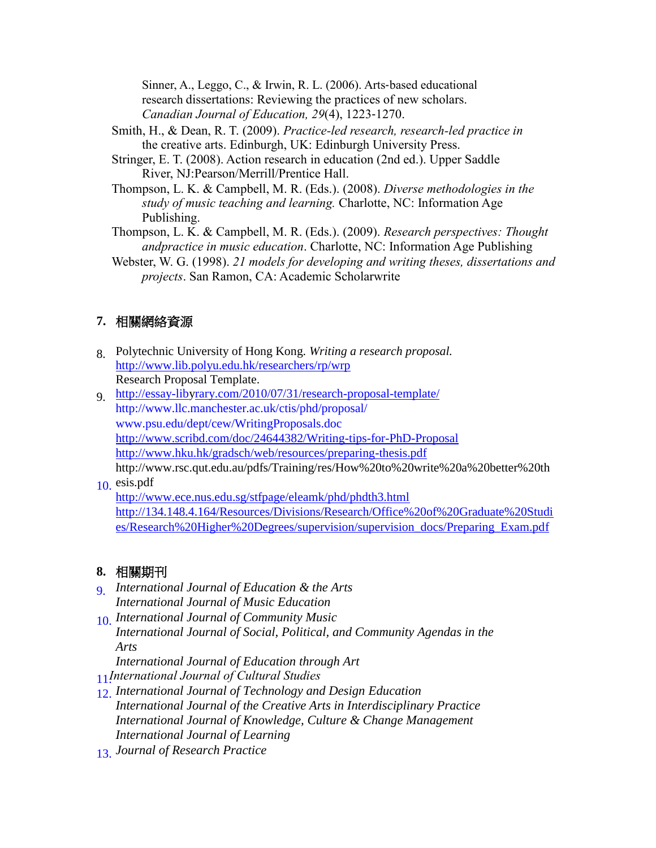Sinner, A., Leggo, C., & Irwin, R. L. (2006). Arts‐based educational research dissertations: Reviewing the practices of new scholars. *Canadian Journal of Education, 29*(4), 1223‐1270.

- Smith, H., & Dean, R. T. (2009). *Practice-led research, research-led practice in*  the creative arts. Edinburgh, UK: Edinburgh University Press.
- Stringer, E. T. (2008). Action research in education (2nd ed.). Upper Saddle River, NJ:Pearson/Merrill/Prentice Hall.
- Thompson, L. K. & Campbell, M. R. (Eds.). (2008). *Diverse methodologies in the study of music teaching and learning.* Charlotte, NC: Information Age Publishing.
- Thompson, L. K. & Campbell, M. R. (Eds.). (2009). *Research perspectives: Thought andpractice in music education*. Charlotte, NC: Information Age Publishing
- Webster, W. G. (1998). *21 models for developing and writing theses, dissertations and projects*. San Ramon, CA: Academic Scholarwrite

# **7.** 相關網絡資源

- 8. Polytechnic University of Hong Kong. *Writing a research proposal.* <http://www.lib.polyu.edu.hk/researchers/rp/wrp> Research Proposal Template.
- [http://essay-libyrary.com/2010/07/31/research-proposal-template/](http://essay-library.com/2010/07/31/research-proposal-template/) 9. http://www.llc.manchester.ac.uk/ctis/phd/proposal/ [www.psu.edu/dept/cew/WritingProposals.doc](http://www.psu.edu/dept/cew/WritingProposals.doc) <http://www.scribd.com/doc/24644382/Writing-tips-for-PhD-Proposal> <http://www.hku.hk/gradsch/web/resources/preparing-thesis.pdf> [http://www.rsc.qut.edu.au/pdfs/Training/res/How%20to%20write%20a%20better%20th](http://www.rsc.qut.edu.au/pdfs/Training/res/How%20to%20write%20a%20better%20thesis.pdf)

### $10.$  [esis.pdf](http://www.rsc.qut.edu.au/pdfs/Training/res/How%20to%20write%20a%20better%20thesis.pdf)

<http://www.ece.nus.edu.sg/stfpage/eleamk/phd/phdth3.html> [http://134.148.4.164/Resources/Divisions/Research/Office%20of%20Graduate%20Studi](http://134.148.4.164/Resources/Divisions/Research/Office%20of%20Graduate%20Studies/Research%20Higher%20Degrees/supervision/supervision_docs/Preparing_Exam.pdf) [es/Research%20Higher%20Degrees/supervision/supervision\\_docs/Preparing\\_Exam.pdf](http://134.148.4.164/Resources/Divisions/Research/Office%20of%20Graduate%20Studies/Research%20Higher%20Degrees/supervision/supervision_docs/Preparing_Exam.pdf)

# **8.** 相關期刊

- *g International Journal of Education & the Arts International Journal of Music Education*
- *[International Journal of Community Music](http://www.intellectbooks.co.uk/journals.php?issn=17526299)* 10. *International Journal of Social, Political, and Community Agendas in the Arts*

*International Journal of Education through Art*

 *International Journal of Cultural Studies* 11.

- 12. *[International Journal of Technology and Design Education](http://www.springer.com/education/journal/10798) [International Journal of the Creative Arts in Interdisciplinary Practice](http://www.ijcaip.com/) International Journal of Knowledge, Culture & Change Management International Journal of Learning*
- **Journal of Research Practice**